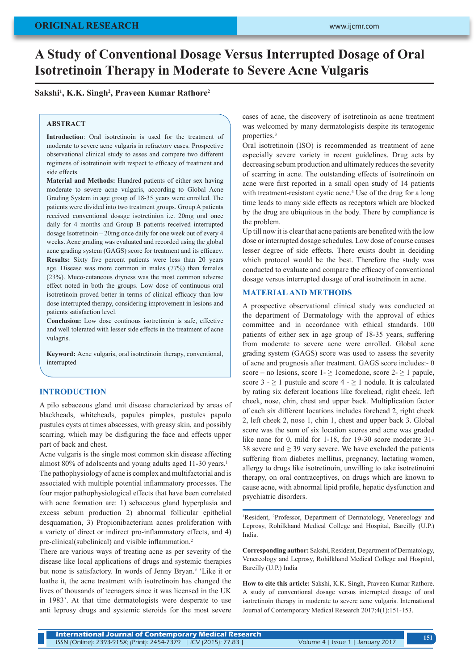# **A Study of Conventional Dosage Versus Interrupted Dosage of Oral Isotretinoin Therapy in Moderate to Severe Acne Vulgaris**

## **Sakshi1 , K.K. Singh2 , Praveen Kumar Rathore2**

#### **ABSTRACT**

**Introduction**: Oral isotretinoin is used for the treatment of moderate to severe acne vulgaris in refractory cases. Prospective observational clinical study to asses and compare two different regimens of isotretinoin with respect to efficacy of treatment and side effects.

**Material and Methods:** Hundred patients of either sex having moderate to severe acne vulgaris, according to Global Acne Grading System in age group of 18-35 years were enrolled. The patients were divided into two treatment groups. Group A patients received conventional dosage isotretinion i.e. 20mg oral once daily for 4 months and Group B patients received interrupted dosage Isotretinoin – 20mg once daily for one week out of every 4 weeks. Acne grading was evaluated and recorded using the global acne grading system (GAGS) score for treatment and its efficacy. **Results:** Sixty five percent patients were less than 20 years age. Disease was more common in males (77%) than females (23%). Muco-cutaneous dryness was the most common adverse effect noted in both the groups. Low dose of continuous oral isotretinoin proved better in terms of clinical efficacy than low dose interrupted therapy, considering improvement in lesions and patients satisfaction level.

**Conclusion:** Low dose continous isotretinoin is safe, effective and well tolerated with lesser side effects in the treatment of acne vulagris.

**Keyword:** Acne vulgaris, oral isotretinoin therapy, conventional, interrupted

#### **INTRODUCTION**

A pilo sebaceous gland unit disease characterized by areas of blackheads, whiteheads, papules pimples, pustules papulo pustules cysts at times abscesses, with greasy skin, and possibly scarring, which may be disfiguring the face and effects upper part of back and chest.

Acne vulgaris is the single most common skin disease affecting almost 80% of adolscents and young adults aged 11-30 years.<sup>1</sup> The pathophysiology of acne is complex and multifactorial and is associated with multiple potential inflammatory processes. The four major pathophysiological effects that have been correlated with acne formation are: 1) sebaceous gland hyperplasia and excess sebum production 2) abnormal follicular epithelial desquamation, 3) Propionibacterium acnes proliferation with a variety of direct or indirect pro-inflammatory effects, and 4) pre-clinical(subclinical) and visible inflammation.<sup>2</sup>

There are various ways of treating acne as per severity of the disease like local applications of drugs and systemic therapies but none is satisfactory. In words of Jenny Bryan.3 'Like it or loathe it, the acne treatment with isotretinoin has changed the lives of thousands of teenagers since it was licensed in the UK in 1983'. At that time dermatologists were desperate to use anti leprosy drugs and systemic steroids for the most severe

cases of acne, the discovery of isotretinoin as acne treatment was welcomed by many dermatologists despite its teratogenic properties.<sup>3</sup>

Oral isotretinoin (ISO) is recommended as treatment of acne especially severe variety in recent guidelines. Drug acts by decreasing sebum production and ultimately reduces the severity of scarring in acne. The outstanding effects of isotretinoin on acne were first reported in a small open study of 14 patients with treatment-resistant cystic acne.<sup>4</sup> Use of the drug for a long time leads to many side effects as receptors which are blocked by the drug are ubiquitous in the body. There by compliance is the problem.

Up till now it is clear that acne patients are benefited with the low dose or interrupted dosage schedules. Low dose of course causes lesser degree of side effects. There exists doubt in deciding which protocol would be the best. Therefore the study was conducted to evaluate and compare the efficacy of conventional dosage versus interrupted dosage of oral isotretinoin in acne.

## **MATERIAL AND METHODS**

A prospective observational clinical study was conducted at the department of Dermatology with the approval of ethics committee and in accordance with ethical standards. 100 patients of either sex in age group of 18-35 years, suffering from moderate to severe acne were enrolled. Global acne grading system (GAGS) score was used to assess the severity of acne and prognosis after treatment. GAGS score includes:- 0 score – no lesions, score  $1 - \geq 1$ comedone, score  $2 - \geq 1$  papule, score  $3 - \ge 1$  pustule and score  $4 - \ge 1$  nodule. It is calculated by rating six deferent locations like forehead, right cheek, left cheek, nose, chin, chest and upper back. Multiplication factor of each six different locations includes forehead 2, right cheek 2, left cheek 2, nose 1, chin 1, chest and upper back 3. Global score was the sum of six location scores and acne was graded like none for 0, mild for 1-18, for 19-30 score moderate 31-38 severe and  $\geq$  39 very severe. We have excluded the patients suffering from diabetes mellitus, pregnancy, lactating women, allergy to drugs like isotretinoin, unwilling to take isotretinoini therapy, on oral contraceptives, on drugs which are known to cause acne, with abnormal lipid profile, hepatic dysfunction and psychiatric disorders.

<sup>1</sup>Resident, <sup>2</sup>Professor, Department of Dermatology, Venereology and Leprosy, Rohilkhand Medical College and Hospital, Bareilly (U.P.) India.

**Corresponding author:** Sakshi, Resident, Department of Dermatology, Venereology and Leprosy, Rohilkhand Medical College and Hospital, Bareilly (U.P.) India

**How to cite this article:** Sakshi, K.K. Singh, Praveen Kumar Rathore. A study of conventional dosage versus interrupted dosage of oral isotretinoin therapy in moderate to severe acne vulgaris. International Journal of Contemporary Medical Research 2017;4(1):151-153.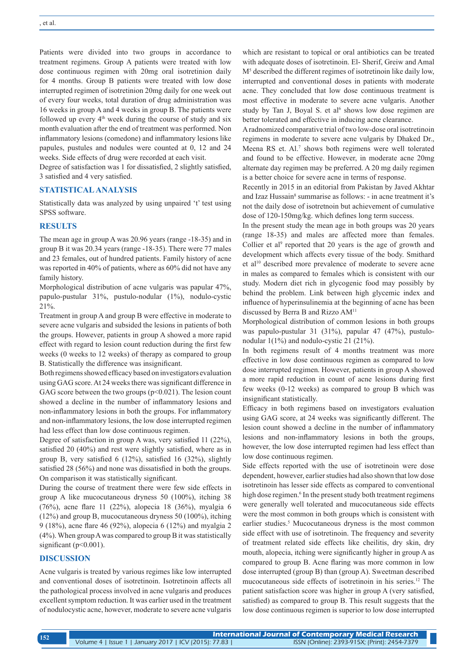Patients were divided into two groups in accordance to treatment regimens. Group A patients were treated with low dose continuous regimen with 20mg oral isotretinion daily for 4 months. Group B patients were treated with low dose interrupted regimen of isotretinion 20mg daily for one week out of every four weeks, total duration of drug administration was 16 weeks in group A and 4 weeks in group B. The patients were followed up every  $4<sup>th</sup>$  week during the course of study and six month evaluation after the end of treatment was performed. Non inflammatory lesions (comedone) and inflammatory lesions like papules, pustules and nodules were counted at 0, 12 and 24 weeks. Side effects of drug were recorded at each visit.

Degree of satisfaction was 1 for dissatisfied, 2 slightly satisfied, 3 satisfied and 4 very satisfied.

### **STATISTICAL ANALYSIS**

Statistically data was analyzed by using unpaired 't' test using SPSS software.

### **RESULTS**

The mean age in group A was 20.96 years (range -18-35) and in group B it was 20.34 years (range -18-35). There were 77 males and 23 females, out of hundred patients. Family history of acne was reported in 40% of patients, where as 60% did not have any family history.

Morphological distribution of acne vulgaris was papular 47%, papulo-pustular 31%, pustulo-nodular (1%), nodulo-cystic 21%.

Treatment in group A and group B were effective in moderate to severe acne vulgaris and subsided the lesions in patients of both the groups. However, patients in group A showed a more rapid effect with regard to lesion count reduction during the first few weeks (0 weeks to 12 weeks) of therapy as compared to group B. Statistically the difference was insignificant.

Both regimens showed efficacy based on investigators evaluation using GAG score. At 24 weeks there was significant difference in GAG score between the two groups  $(p<0.021)$ . The lesion count showed a decline in the number of inflammatory lesions and non-inflammatory lesions in both the groups. For inflammatory and non-inflammatory lesions, the low dose interrupted regimen had less effect than low dose continuous regimen.

Degree of satisfaction in group A was, very satisfied 11 (22%), satisfied 20 (40%) and rest were slightly satisfied, where as in group B, very satisfied 6 (12%), satisfied 16 (32%), slightly satisfied 28 (56%) and none was dissatisfied in both the groups. On comparison it was statistically significant.

During the course of treatment there were few side effects in group A like mucocutaneous dryness 50 (100%), itching 38 (76%), acne flare 11 (22%), alopecia 18 (36%), myalgia 6 (12%) and group B, mucocutaneous dryness 50 (100%), itching 9 (18%), acne flare 46 (92%), alopecia 6 (12%) and myalgia 2 (4%). When group A was compared to group B it was statistically significant (p<0.001).

# **DISCUSSION**

Acne vulgaris is treated by various regimes like low interrupted and conventional doses of isotretinoin. Isotretinoin affects all the pathological process involved in acne vulgaris and produces excellent symptom reduction. It was earlier used in the treatment of nodulocystic acne, however, moderate to severe acne vulgaris

which are resistant to topical or oral antibiotics can be treated with adequate doses of isotretinoin. El- Sherif, Greiw and Amal M5 described the different regimes of isotretinoin like daily low, interrupted and conventional doses in patients with moderate acne. They concluded that low dose continuous treatment is most effective in moderate to severe acne vulgaris. Another study by Tan J, Boyal S. et al<sup>6</sup> shows low dose regimen are better tolerated and effective in inducing acne clearance.

A radnomized comparative trial of two low-dose oral isotretinoin regimens in moderate to severe acne vulgaris by Dhaked Dr., Meena RS et. Al.<sup>7</sup> shows both regimens were well tolerated and found to be effective. However, in moderate acne 20mg alternate day regimen may be preferred. A 20 mg daily regimen is a better choice for severe acne in terms of response.

Recently in 2015 in an editorial from Pakistan by Javed Akhtar and Izaz Hussain<sup>8</sup> summarise as follows: - in acne treatment it's not the daily dose of isotretnoin but achievement of cumulative dose of 120-150mg/kg. which defines long term success.

In the present study the mean age in both groups was 20 years (range 18-35) and males are affected more than females. Collier et al<sup>9</sup> reported that 20 years is the age of growth and development which affects every tissue of the body. Smithard et al<sup>10</sup> described more prevalence of moderate to severe acne in males as compared to females which is consistent with our study. Modern diet rich in glycogenic food may possibly by behind the problem. Link between high glycemic index and influence of hyperinsulinemia at the beginning of acne has been discussed by Berra B and Rizzo AM11

Morphological distribution of common lesions in both groups was papulo-pustular 31 (31%), papular 47 (47%), pustulonodular 1(1%) and nodulo-cystic 21 (21%).

In both regimens result of 4 months treatment was more effective in low dose continuous regimen as compared to low dose interrupted regimen. However, patients in group A showed a more rapid reduction in count of acne lesions during first few weeks (0-12 weeks) as compared to group B which was insignificant statistically.

Efficacy in both regimens based on investigators evaluation using GAG score, at 24 weeks was significantly different. The lesion count showed a decline in the number of inflammatory lesions and non-inflammatory lesions in both the groups, however, the low dose interrupted regimen had less effect than low dose continuous regimen.

Side effects reported with the use of isotretinoin were dose dependent, however, earlier studies had also shown that low dose isotretinoin has lesser side effects as compared to conventional high dose regimen.<sup>6</sup> In the present study both treatment regimens were generally well tolerated and mucocutaneous side effects were the most common in both groups which is consistent with earlier studies.<sup>5</sup> Mucocutaneous dryness is the most common side effect with use of isotretinoin. The frequency and severity of treatment related side effects like cheilitis, dry skin, dry mouth, alopecia, itching were significantly higher in group A as compared to group B. Acne flaring was more common in low dose interrupted (group B) than (group A). Sweetman described mucocutaneous side effects of isotretinoin in his series.12 The patient satisfaction score was higher in group A (very satisfied, satisfied) as compared to group B. This result suggests that the low dose continuous regimen is superior to low dose interrupted